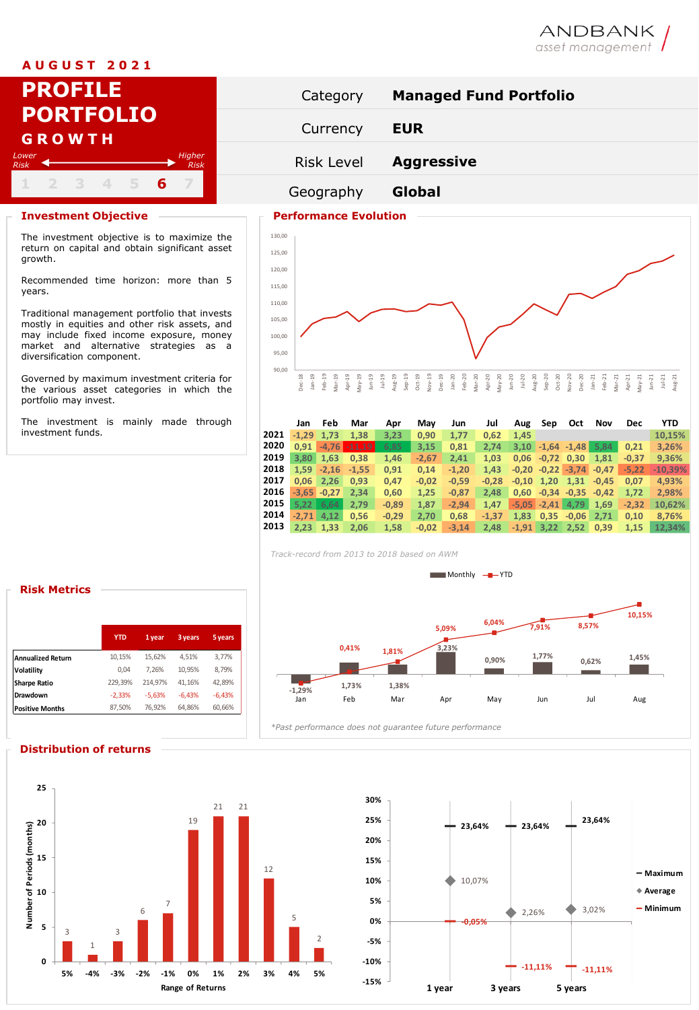# **A U G U S T 2 0 2 1**

| <b>PROFILE</b>                                | Category          | Manag         |
|-----------------------------------------------|-------------------|---------------|
| <b>PORTFOLIO</b><br><b>GROWTH</b>             | Currency          | <b>EUR</b>    |
| Higher<br>Lower<br><b>Risk</b><br><b>Risk</b> | <b>Risk Level</b> | <b>Aggres</b> |
| 2 3 4 5 6                                     | Geography         | Global        |

## **Investment Objective Performance Evolution**

The investment objective is to maximize the return on capital and obtain significant asset growth.

Recommended time horizon: more than 5 years.

Traditional management portfolio that invests mostly in equities and other risk assets, and may include fixed income exposure, money market and alternative strategies as a diversification component.

Governed by maximum investment criteria for the various asset categories in which the portfolio may invest.

The investment is mainly made through investment funds.



ANDBANK<br>asset management



|      | Jan     | Feb            | Mar      | Apr     | May     | Jun     | Jul     | Aug     | Sep          | Oct                     | Nov     | <b>Dec</b> | <b>YTD</b> |
|------|---------|----------------|----------|---------|---------|---------|---------|---------|--------------|-------------------------|---------|------------|------------|
| 2021 | $-1.29$ | 1,73           | 1.38     | 3,23    | 0.90    | 1.77    | 0.62    | 1.45    |              |                         |         |            | 10.15%     |
| 2020 | 0.91    | $-4.76$        | $-11.19$ | 6,85    | 3,15    | 0,81    | 2.74    | 3.10    |              | $-1,64$ $-1,48$         | 5.84    | 0.21       | 3.26%      |
| 2019 | 3.80    | 1,63           | 0.38     | 1,46    | $-2,67$ | 2,41    | 1.03    | 0.06    | $-0.72$ 0.30 |                         | 1,81    | $-0.37$    | 9,36%      |
| 2018 | 1.59    | $-2.16$        | $-1.55$  | 0.91    | 0.14    | $-1,20$ | 1.43    |         |              | $-0.20$ $-0.22$ $-3.74$ | $-0.47$ | $-5.22$    | $-10,39%$  |
| 2017 | 0.06    | 2.26           | 0.93     | 0,47    | $-0,02$ | $-0,59$ | $-0.28$ | $-0.10$ | 1,20         | 1,31                    | $-0.45$ | 0.07       | 4,93%      |
| 2016 |         | $-3.65 - 0.27$ | 2.34     | 0.60    | 1.25    | $-0.87$ | 2.48    | 0.60    |              | $-0.34 -0.35$           | $-0.42$ | 1.72       | 2.98%      |
| 2015 | 5.22    | 6.64           | 2.79     | $-0,89$ | 1.87    | $-2.94$ | 1.47    | $-5.05$ | $-2.41$      | 4.79                    | 1,69    | $-2.32$    | 10.62%     |
| 2014 | $-2.71$ | 4,12           | 0.56     | $-0,29$ | 2,70    | 0,68    | $-1.37$ | 1,83    | 0,35         | $-0,06$                 | 2,71    | 0,10       | 8.76%      |
| 2013 | 2.23    | 1.33           | 2.06     | 1.58    | $-0.02$ | $-3.14$ | 2.48    | $-1,91$ | 3,22         | 2,52                    | 0,39    | 1.15       | 12.34%     |

*Track-record from 2013 to 2018 based on AWM*



|                          | <b>YTD</b> | 1 year   | 3 years  | 5 years  |  |
|--------------------------|------------|----------|----------|----------|--|
| <b>Annualized Return</b> | 10,15%     | 15.62%   | 4.51%    | 3,77%    |  |
| Volatility               | 0.04       | 7,26%    | 10.95%   | 8.79%    |  |
| <b>Sharpe Ratio</b>      | 229,39%    | 214.97%  | 41,16%   | 42,89%   |  |
| Drawdown                 | $-2,33%$   | $-5.63%$ | $-6.43%$ | $-6,43%$ |  |
| <b>Positive Months</b>   | 87.50%     | 76.92%   | 64.86%   | 60,66%   |  |
|                          |            |          |          |          |  |



**Distribution of returns**